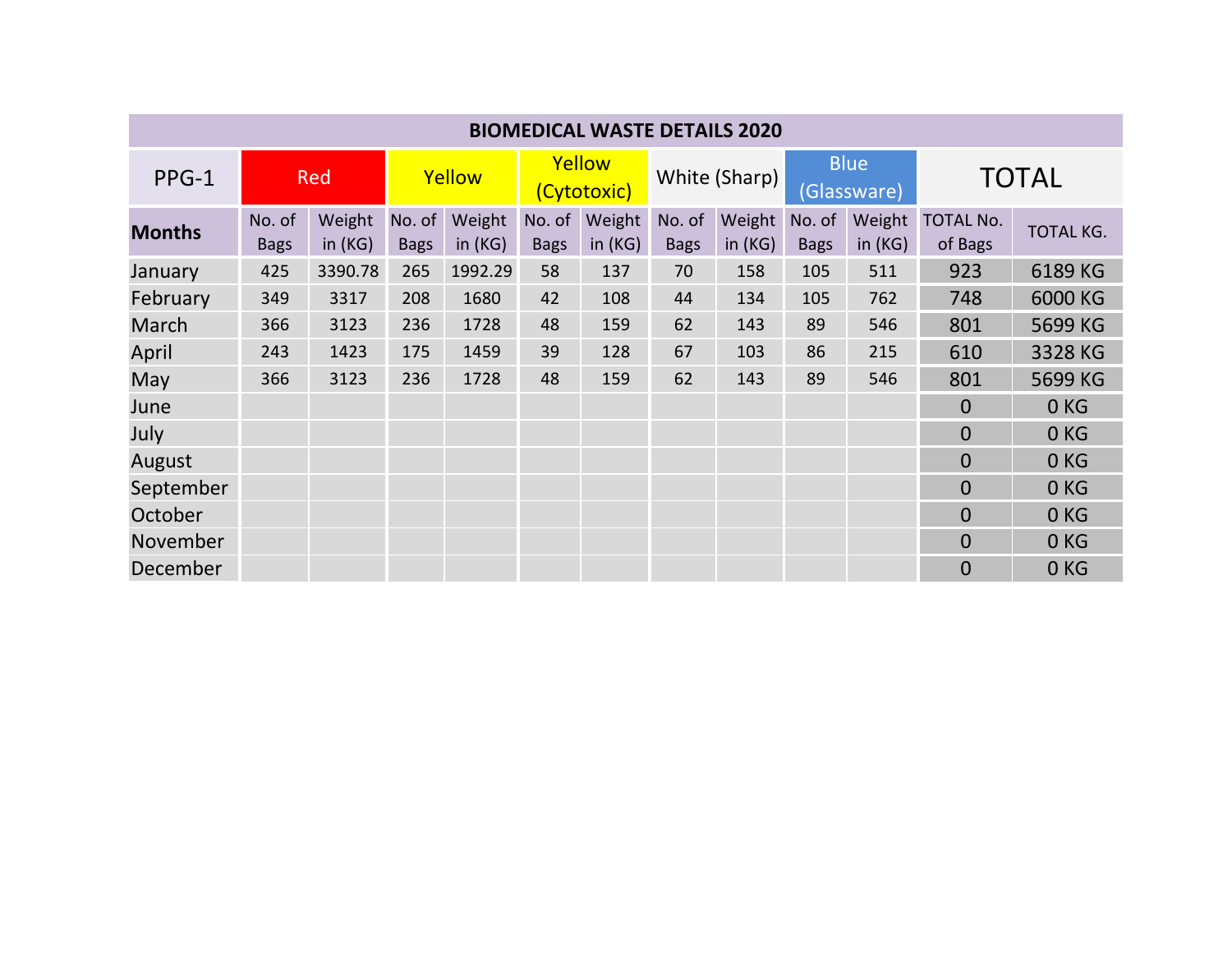| <b>BIOMEDICAL WASTE DETAILS 2020</b> |                       |                     |                       |                     |                       |                  |                       |                     |                            |                     |                             |                  |
|--------------------------------------|-----------------------|---------------------|-----------------------|---------------------|-----------------------|------------------|-----------------------|---------------------|----------------------------|---------------------|-----------------------------|------------------|
| $PPG-1$                              | <b>Red</b>            |                     | Yellow                |                     | Yellow<br>(Cytotoxic) |                  | White (Sharp)         |                     | <b>Blue</b><br>(Glassware) |                     | <b>TOTAL</b>                |                  |
| <b>Months</b>                        | No. of<br><b>Bags</b> | Weight<br>in $(KG)$ | No. of<br><b>Bags</b> | Weight<br>in $(KG)$ | No. of<br><b>Bags</b> | Weight<br>in(KG) | No. of<br><b>Bags</b> | Weight<br>in $(KG)$ | No. of<br><b>Bags</b>      | Weight<br>in $(KG)$ | <b>TOTAL No.</b><br>of Bags | <b>TOTAL KG.</b> |
| January                              | 425                   | 3390.78             | 265                   | 1992.29             | 58                    | 137              | 70                    | 158                 | 105                        | 511                 | 923                         | 6189 KG          |
| February                             | 349                   | 3317                | 208                   | 1680                | 42                    | 108              | 44                    | 134                 | 105                        | 762                 | 748                         | 6000 KG          |
| March                                | 366                   | 3123                | 236                   | 1728                | 48                    | 159              | 62                    | 143                 | 89                         | 546                 | 801                         | 5699 KG          |
| April                                | 243                   | 1423                | 175                   | 1459                | 39                    | 128              | 67                    | 103                 | 86                         | 215                 | 610                         | 3328 KG          |
| May                                  | 366                   | 3123                | 236                   | 1728                | 48                    | 159              | 62                    | 143                 | 89                         | 546                 | 801                         | 5699 KG          |
| June                                 |                       |                     |                       |                     |                       |                  |                       |                     |                            |                     | $\Omega$                    | 0 <sub>KG</sub>  |
| July                                 |                       |                     |                       |                     |                       |                  |                       |                     |                            |                     | $\overline{0}$              | 0 <sub>KG</sub>  |
| August                               |                       |                     |                       |                     |                       |                  |                       |                     |                            |                     | $\overline{0}$              | 0 <sub>KG</sub>  |
| September                            |                       |                     |                       |                     |                       |                  |                       |                     |                            |                     | $\overline{0}$              | 0 <sub>KG</sub>  |
| October                              |                       |                     |                       |                     |                       |                  |                       |                     |                            |                     | $\overline{0}$              | 0 <sub>KG</sub>  |
| November                             |                       |                     |                       |                     |                       |                  |                       |                     |                            |                     | $\Omega$                    | 0 <sub>KG</sub>  |
| December                             |                       |                     |                       |                     |                       |                  |                       |                     |                            |                     | $\overline{0}$              | 0 <sub>KG</sub>  |